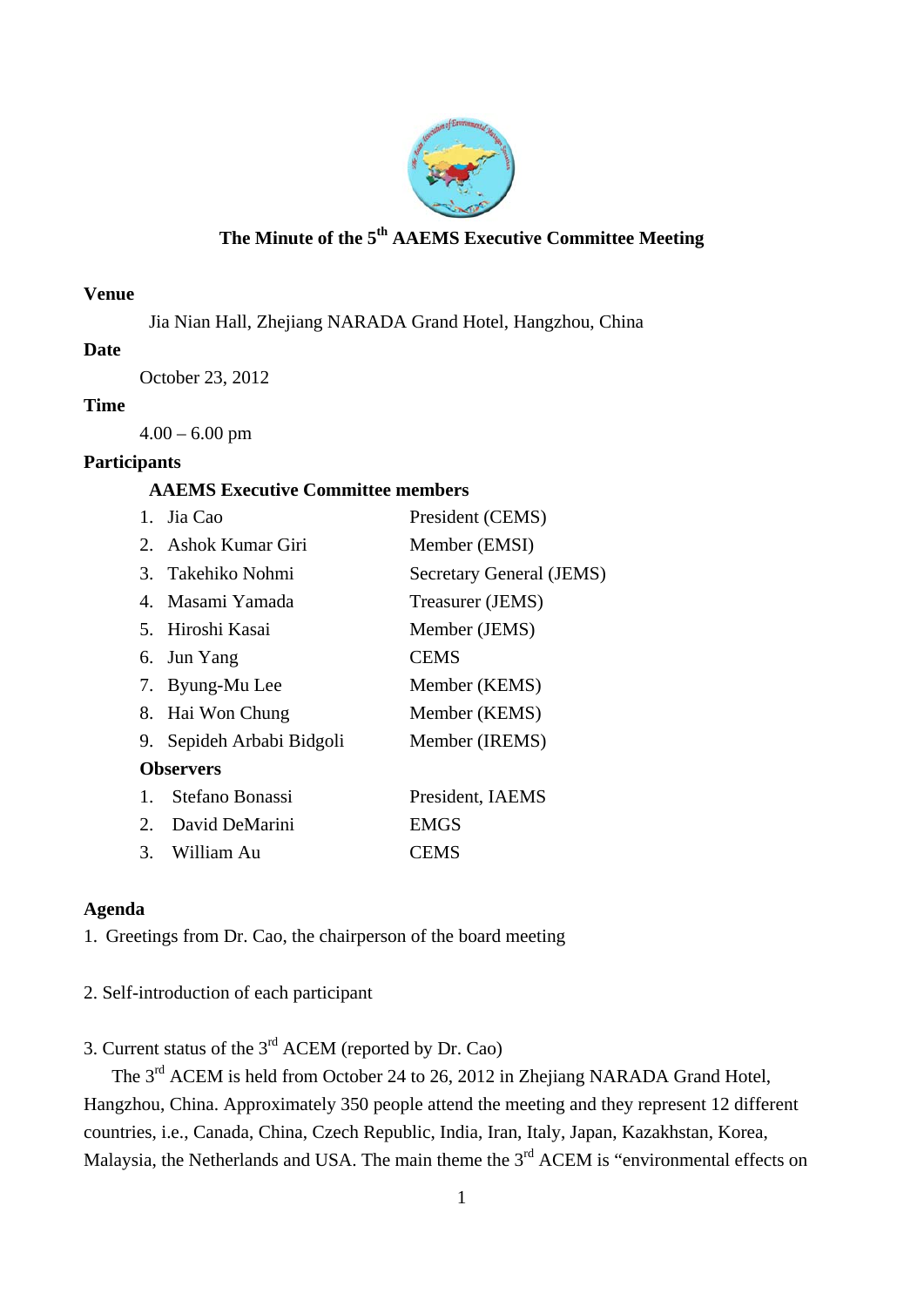

## **The Minute of the 5th AAEMS Executive Committee Meeting**

#### **Venue**

Jia Nian Hall, Zhejiang NARADA Grand Hotel, Hangzhou, China

### **Date**

October 23, 2012

### **Time**

 $4.00 - 6.00$  pm

### **Participants**

## **AAEMS Executive Committee members**

|                  | 1. Jia Cao                | President (CEMS)         |
|------------------|---------------------------|--------------------------|
|                  | 2. Ashok Kumar Giri       | Member (EMSI)            |
|                  | 3. Takehiko Nohmi         | Secretary General (JEMS) |
|                  | 4. Masami Yamada          | Treasurer (JEMS)         |
|                  | 5. Hiroshi Kasai          | Member (JEMS)            |
|                  | 6. Jun Yang               | <b>CEMS</b>              |
|                  | 7. Byung-Mu Lee           | Member (KEMS)            |
|                  | 8. Hai Won Chung          | Member (KEMS)            |
|                  | 9. Sepideh Arbabi Bidgoli | Member (IREMS)           |
| <b>Observers</b> |                           |                          |
| 1.               | Stefano Bonassi           | President, IAEMS         |
|                  | 2. David DeMarini         | <b>EMGS</b>              |
| 3.               | William Au                | CEMS                     |

## **Agenda**

1. Greetings from Dr. Cao, the chairperson of the board meeting

## 2. Self-introduction of each participant

# 3. Current status of the 3rd ACEM (reported by Dr. Cao)

The 3<sup>rd</sup> ACEM is held from October 24 to 26, 2012 in Zhejiang NARADA Grand Hotel, Hangzhou, China. Approximately 350 people attend the meeting and they represent 12 different countries, i.e., Canada, China, Czech Republic, India, Iran, Italy, Japan, Kazakhstan, Korea, Malaysia, the Netherlands and USA. The main theme the 3<sup>rd</sup> ACEM is "environmental effects on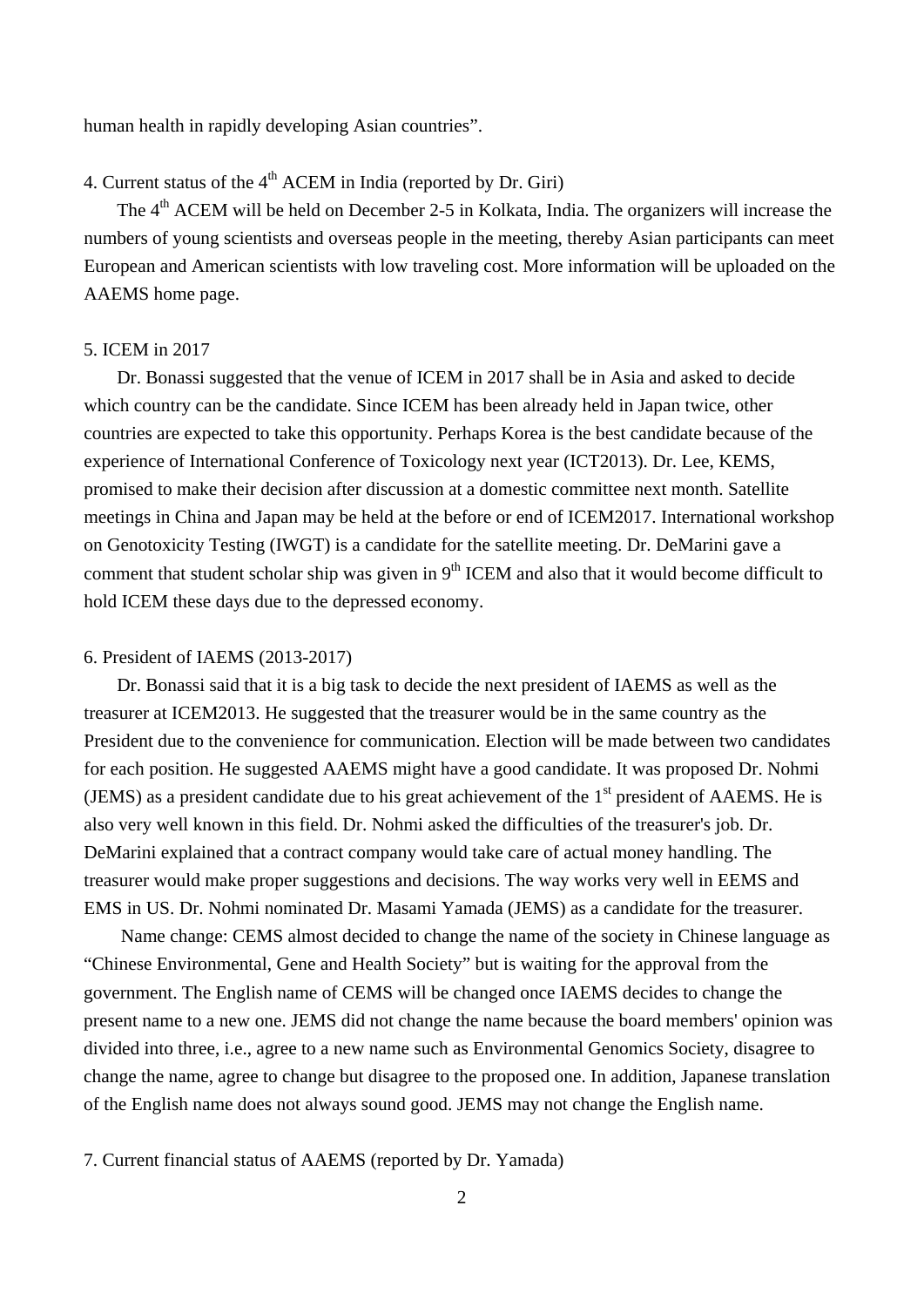human health in rapidly developing Asian countries".

## 4. Current status of the  $4<sup>th</sup>$  ACEM in India (reported by Dr. Giri)

The 4<sup>th</sup> ACEM will be held on December 2-5 in Kolkata, India. The organizers will increase the numbers of young scientists and overseas people in the meeting, thereby Asian participants can meet European and American scientists with low traveling cost. More information will be uploaded on the AAEMS home page.

#### 5. ICEM in 2017

Dr. Bonassi suggested that the venue of ICEM in 2017 shall be in Asia and asked to decide which country can be the candidate. Since ICEM has been already held in Japan twice, other countries are expected to take this opportunity. Perhaps Korea is the best candidate because of the experience of International Conference of Toxicology next year (ICT2013). Dr. Lee, KEMS, promised to make their decision after discussion at a domestic committee next month. Satellite meetings in China and Japan may be held at the before or end of ICEM2017. International workshop on Genotoxicity Testing (IWGT) is a candidate for the satellite meeting. Dr. DeMarini gave a comment that student scholar ship was given in  $9<sup>th</sup>$  ICEM and also that it would become difficult to hold ICEM these days due to the depressed economy.

#### 6. President of IAEMS (2013-2017)

Dr. Bonassi said that it is a big task to decide the next president of IAEMS as well as the treasurer at ICEM2013. He suggested that the treasurer would be in the same country as the President due to the convenience for communication. Election will be made between two candidates for each position. He suggested AAEMS might have a good candidate. It was proposed Dr. Nohmi (JEMS) as a president candidate due to his great achievement of the  $1<sup>st</sup>$  president of AAEMS. He is also very well known in this field. Dr. Nohmi asked the difficulties of the treasurer's job. Dr. DeMarini explained that a contract company would take care of actual money handling. The treasurer would make proper suggestions and decisions. The way works very well in EEMS and EMS in US. Dr. Nohmi nominated Dr. Masami Yamada (JEMS) as a candidate for the treasurer.

Name change: CEMS almost decided to change the name of the society in Chinese language as "Chinese Environmental, Gene and Health Society" but is waiting for the approval from the government. The English name of CEMS will be changed once IAEMS decides to change the present name to a new one. JEMS did not change the name because the board members' opinion was divided into three, i.e., agree to a new name such as Environmental Genomics Society, disagree to change the name, agree to change but disagree to the proposed one. In addition, Japanese translation of the English name does not always sound good. JEMS may not change the English name.

7. Current financial status of AAEMS (reported by Dr. Yamada)